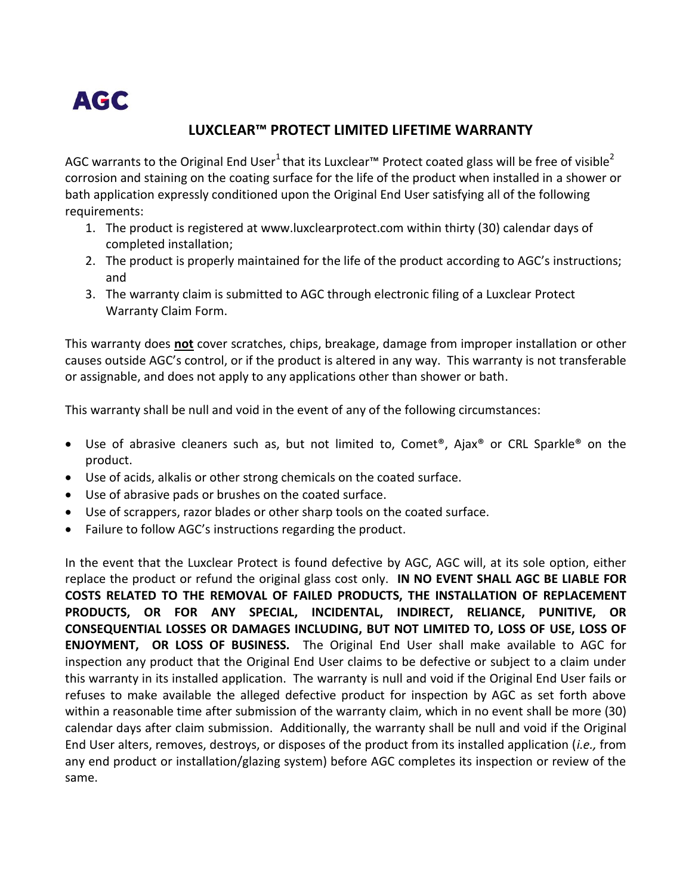

## **LUXCLEAR™ PROTECT LIMITED LIFETIME WARRANTY**

AGC warrants to the Original End User<sup>1</sup> that its Luxclear™ Protect coated glass will be free of visible<sup>2</sup> corrosion and staining on the coating surface for the life of the product when installed in a shower or bath application expressly conditioned upon the Original End User satisfying all of the following requirements:

- 1. The product is registered a[t www.luxclearprotect.com](http://www.luxclearprotect.com/) within thirty (30) calendar days of completed installation;
- 2. The product is properly maintained for the life of the product according to AGC's instructions; and
- 3. The warranty claim is submitted to AGC through electronic filing of a Luxclear Protect Warranty Claim Form.

This warranty does **not** cover scratches, chips, breakage, damage from improper installation or other causes outside AGC's control, or if the product is altered in any way. This warranty is not transferable or assignable, and does not apply to any applications other than shower or bath.

This warranty shall be null and void in the event of any of the following circumstances:

- Use of abrasive cleaners such as, but not limited to, Comet<sup>®</sup>, Ajax<sup>®</sup> or CRL Sparkle<sup>®</sup> on the product.
- Use of acids, alkalis or other strong chemicals on the coated surface.
- Use of abrasive pads or brushes on the coated surface.
- Use of scrappers, razor blades or other sharp tools on the coated surface.
- Failure to follow AGC's instructions regarding the product.

In the event that the Luxclear Protect is found defective by AGC, AGC will, at its sole option, either replace the product or refund the original glass cost only. **IN NO EVENT SHALL AGC BE LIABLE FOR COSTS RELATED TO THE REMOVAL OF FAILED PRODUCTS, THE INSTALLATION OF REPLACEMENT PRODUCTS, OR FOR ANY SPECIAL, INCIDENTAL, INDIRECT, RELIANCE, PUNITIVE, OR CONSEQUENTIAL LOSSES OR DAMAGES INCLUDING, BUT NOT LIMITED TO, LOSS OF USE, LOSS OF ENJOYMENT, OR LOSS OF BUSINESS.** The Original End User shall make available to AGC for inspection any product that the Original End User claims to be defective or subject to a claim under this warranty in its installed application. The warranty is null and void if the Original End User fails or refuses to make available the alleged defective product for inspection by AGC as set forth above within a reasonable time after submission of the warranty claim, which in no event shall be more (30) calendar days after claim submission. Additionally, the warranty shall be null and void if the Original End User alters, removes, destroys, or disposes of the product from its installed application (*i.e.,* from any end product or installation/glazing system) before AGC completes its inspection or review of the same.